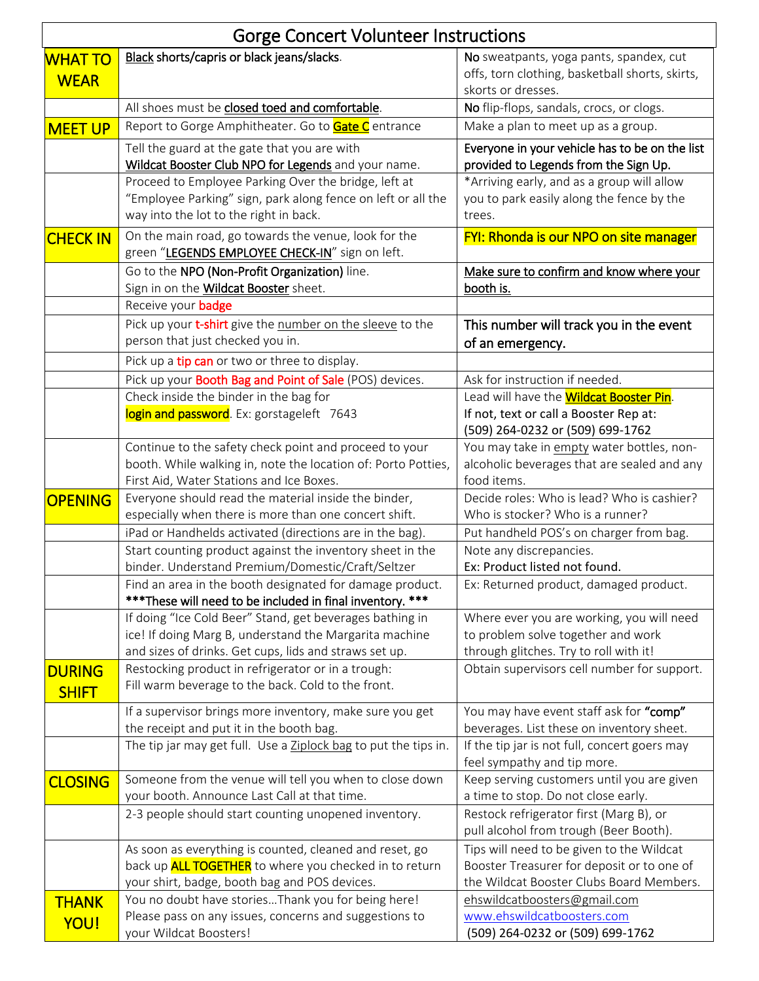| <b>Gorge Concert Volunteer Instructions</b> |                                                                                                                                                                |                                                                                                                  |
|---------------------------------------------|----------------------------------------------------------------------------------------------------------------------------------------------------------------|------------------------------------------------------------------------------------------------------------------|
| <b>WHAT TO</b><br><b>WEAR</b>               | Black shorts/capris or black jeans/slacks.                                                                                                                     | No sweatpants, yoga pants, spandex, cut<br>offs, torn clothing, basketball shorts, skirts,<br>skorts or dresses. |
|                                             | All shoes must be closed toed and comfortable.                                                                                                                 | No flip-flops, sandals, crocs, or clogs.                                                                         |
| <b>MEET UP</b>                              | Report to Gorge Amphitheater. Go to <b>Gate C</b> entrance                                                                                                     | Make a plan to meet up as a group.                                                                               |
|                                             | Tell the guard at the gate that you are with<br>Wildcat Booster Club NPO for Legends and your name.                                                            | Everyone in your vehicle has to be on the list<br>provided to Legends from the Sign Up.                          |
|                                             | Proceed to Employee Parking Over the bridge, left at<br>"Employee Parking" sign, park along fence on left or all the<br>way into the lot to the right in back. | *Arriving early, and as a group will allow<br>you to park easily along the fence by the<br>trees.                |
| <b>CHECK IN</b>                             | On the main road, go towards the venue, look for the<br>green "LEGENDS EMPLOYEE CHECK-IN" sign on left.                                                        | FYI: Rhonda is our NPO on site manager                                                                           |
|                                             | Go to the NPO (Non-Profit Organization) line.<br>Sign in on the <b>Wildcat Booster</b> sheet.                                                                  | Make sure to confirm and know where your<br>booth is.                                                            |
|                                             | Receive your <b>badge</b>                                                                                                                                      |                                                                                                                  |
|                                             | Pick up your t-shirt give the number on the sleeve to the<br>person that just checked you in.                                                                  | This number will track you in the event<br>of an emergency.                                                      |
|                                             | Pick up a tip can or two or three to display.                                                                                                                  |                                                                                                                  |
|                                             | Pick up your <b>Booth Bag and Point of Sale</b> (POS) devices.                                                                                                 | Ask for instruction if needed.                                                                                   |
|                                             | Check inside the binder in the bag for                                                                                                                         | Lead will have the <b>Wildcat Booster Pin</b> .                                                                  |
|                                             | login and password. Ex: gorstageleft 7643                                                                                                                      | If not, text or call a Booster Rep at:<br>(509) 264-0232 or (509) 699-1762                                       |
|                                             | Continue to the safety check point and proceed to your                                                                                                         | You may take in empty water bottles, non-                                                                        |
|                                             | booth. While walking in, note the location of: Porto Potties,                                                                                                  | alcoholic beverages that are sealed and any                                                                      |
|                                             | First Aid, Water Stations and Ice Boxes.                                                                                                                       | food items.                                                                                                      |
| <b>OPENING</b>                              | Everyone should read the material inside the binder,<br>especially when there is more than one concert shift.                                                  | Decide roles: Who is lead? Who is cashier?<br>Who is stocker? Who is a runner?                                   |
|                                             | iPad or Handhelds activated (directions are in the bag).                                                                                                       | Put handheld POS's on charger from bag.                                                                          |
|                                             | Start counting product against the inventory sheet in the                                                                                                      | Note any discrepancies.                                                                                          |
|                                             | binder. Understand Premium/Domestic/Craft/Seltzer                                                                                                              | Ex: Product listed not found.                                                                                    |
|                                             | Find an area in the booth designated for damage product.<br>*** These will need to be included in final inventory. ***                                         | Ex: Returned product, damaged product.                                                                           |
|                                             | If doing "Ice Cold Beer" Stand, get beverages bathing in                                                                                                       | Where ever you are working, you will need                                                                        |
|                                             | ice! If doing Marg B, understand the Margarita machine                                                                                                         | to problem solve together and work                                                                               |
|                                             | and sizes of drinks. Get cups, lids and straws set up.                                                                                                         | through glitches. Try to roll with it!                                                                           |
| <b>DURING</b><br><b>SHIFT</b>               | Restocking product in refrigerator or in a trough:<br>Fill warm beverage to the back. Cold to the front.                                                       | Obtain supervisors cell number for support.                                                                      |
|                                             | If a supervisor brings more inventory, make sure you get<br>the receipt and put it in the booth bag.                                                           | You may have event staff ask for "comp"<br>beverages. List these on inventory sheet.                             |
|                                             | The tip jar may get full. Use a Ziplock bag to put the tips in.                                                                                                | If the tip jar is not full, concert goers may<br>feel sympathy and tip more.                                     |
| <b>CLOSING</b>                              | Someone from the venue will tell you when to close down                                                                                                        | Keep serving customers until you are given                                                                       |
|                                             | your booth. Announce Last Call at that time.                                                                                                                   | a time to stop. Do not close early.                                                                              |
|                                             | 2-3 people should start counting unopened inventory.                                                                                                           | Restock refrigerator first (Marg B), or<br>pull alcohol from trough (Beer Booth).                                |
|                                             | As soon as everything is counted, cleaned and reset, go                                                                                                        | Tips will need to be given to the Wildcat                                                                        |
|                                             | back up <b>ALL TOGETHER</b> to where you checked in to return                                                                                                  | Booster Treasurer for deposit or to one of                                                                       |
|                                             | your shirt, badge, booth bag and POS devices.                                                                                                                  | the Wildcat Booster Clubs Board Members.                                                                         |
| <b>THANK</b>                                | You no doubt have storiesThank you for being here!                                                                                                             | ehswildcatboosters@gmail.com                                                                                     |
| <b>YOU!</b>                                 | Please pass on any issues, concerns and suggestions to<br>your Wildcat Boosters!                                                                               | www.ehswildcatboosters.com<br>(509) 264-0232 or (509) 699-1762                                                   |